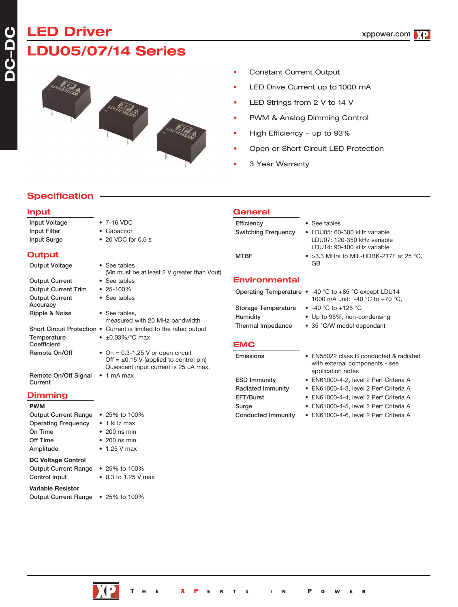# **LED Driver LDU05/07/14 Series**

- Constant Current Output
- LED Drive Current up to 1000 mA
- LED Strings from 2 V to 14 V
- PWM & Analog Dimming Control
- High Efficiency up to 93%
- Open or Short Circuit LED Protection
- 3 Year Warranty

# **Specification**

**Input**

# Input Voltage • 7-16 VDC Input Filter • Capacitor Input Surge • 20 VDC for 0.5 s **Output** Output Voltage • See tables Output Current • See tables Output Current Trim • 25-100% Output Current • See tables Accuracy Ripple & Noise • See tables, Short Circuit Protection • Current is limited to the rated output Temperature  $\bullet$   $\pm 0.03\%$  /°C max Coefficient Remote On/Off  $\bullet$  On = 0.3-1.25 V or open circuit

Remote On/Off Signal • 1 mA max **Current** 

### **Dimming**

#### **PWM**

| <b>Output Current Range</b> | • 25% to 100%        |
|-----------------------------|----------------------|
| <b>Operating Frequency</b>  | $\bullet$ 1 kHz max  |
| On Time                     | $\bullet$ 200 ns min |
| Off Time                    | $\bullet$ 200 ns min |
| Amplitude                   | $\bullet$ 1.25 V max |
| <b>DC Voltage Control</b>   |                      |
| <b>Output Current Range</b> | • 25% to 100%        |
| Control Input               | • 0.3 to 1.25 V max  |
| <b>Variable Resistor</b>    |                      |
| <b>Output Current Range</b> | • 25% to 100%        |

- (Vin must be at least 2 V greater than Vout) measured with 20 MHz bandwidth Off =  $\leq$ 0.15 V (applied to control pin) Quiescent input current is 25 µA max,
- **General**
- Efficiency See tables Switching Frequency • LDU05: 60-300 kHz variable LDU07: 120-350 kHz variable LDU14: 90-400 kHz variable

MTBF • >3.3 MHrs to MIL-HDBK-217F at 25 °C, GB

# **Environmental**

| Operating Temperature $\bullet$ -40 °C to +85 °C except LDU14 |                                 |  |
|---------------------------------------------------------------|---------------------------------|--|
|                                                               | 1000 mA unit: -40 °C to +70 °C. |  |

- Storage Temperature -40 °C to +125 °C
- Humidity Up to 95%, non-condensing
- Thermal Impedance 35 °C/W model dependant
- **EMC**

- 
- Emissions EN55022 class B conducted & radiated with external components - see application notes
- ESD Immunity EN61000-4-2, level 2 Perf Criteria A
- Radiated Immunity EN61000-4-3, level 2 Perf Criteria A
- EFT/Burst EN61000-4-4, level 2 Perf Criteria A
- Surge EN61000-4-5, level 2 Perf Criteria A
- Conducted Immunity EN61000-4-6, level 2 Perf Criteria A